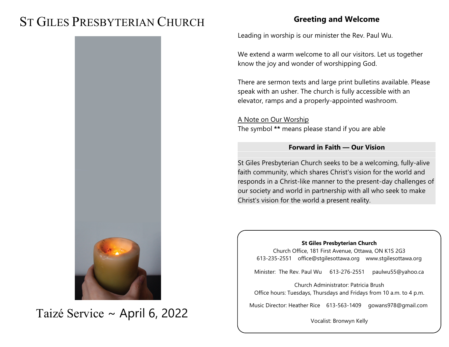# ST GILES PRESBYTERIAN CHURCH

# **Greeting and Welcome**

Leading in worship is our minister the Rev. Paul Wu.

We extend a warm welcome to all our visitors. Let us together know the joy and wonder of worshipping God.

There are sermon texts and large print bulletins available. Please speak with an usher. The church is fully accessible with an elevator, ramps and a properly-appointed washroom.

A Note on Our Worship The symbol **\*\*** means please stand if you are able

### **Forward in Faith — Our Vision**

St Giles Presbyterian Church seeks to be a welcoming, fully-alive faith community, which shares Christ's vision for the world and responds in a Christ-like manner to the present-day challenges of our society and world in partnership with all who seek to make Christ's vision for the world a present reality.

#### **St Giles Presbyterian Church**

Church Office, 181 First Avenue, Ottawa, ON K1S 2G3 613-235-2551 office@stgilesottawa.org www.stgilesottawa.org

Minister: The Rev. Paul Wu 613-276-2551 paulwu55@yahoo.ca

Church Administrator: Patricia Brush Office hours: Tuesdays, Thursdays and Fridays from 10 a.m. to 4 p.m.

Music Director: Heather Rice 613-563-1409 gowans978@gmail.com

Vocalist: Bronwyn Kelly



Taizé Service ~ April 6, 2022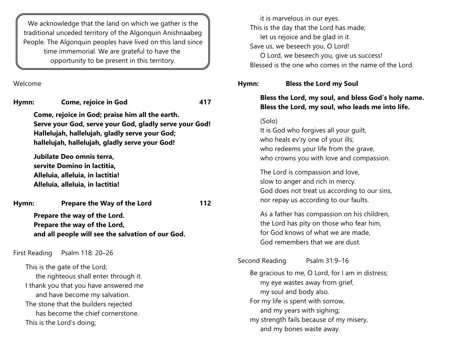We acknowledge that the land on which we gather is the traditional unceded territory of the Algonquin Anishnaabeg People. The Algonquin peoples have lived on this land since time immemorial. We are grateful to have the opportunity to be present in this territory.

Welcome

**Hymn: Come, rejoice in God 417 Come, rejoice in God; praise him all the earth. Serve your God, serve your God, gladly serve your God! Hallelujah, hallelujah, gladly serve your God; hallelujah, hallelujah, gladly serve your God! Jubilate Deo omnis terra, servite Domino in lactitia, Alleluia, alleluia, in lactitia! Alleluia, alleluia, in lactitia! Hymn: Prepare the Way of the Lord 112 Prepare the way of the Lord. Prepare the way of the Lord, and all people will see the salvation of our God.** First Reading Psalm 118: 20–26 This is the gate of the Lord; the righteous shall enter through it. I thank you that you have answered me and have become my salvation. The stone that the builders rejected has become the chief cornerstone. This is the Lord's doing;

it is marvelous in our eyes. This is the day that the Lord has made; let us rejoice and be glad in it. Save us, we beseech you, O Lord! O Lord, we beseech you, give us success! Blessed is the one who comes in the name of the Lord.

#### **Hymn: Bless the Lord my Soul**

## **Bless the Lord, my soul, and bless God's holy name. Bless the Lord, my soul, who leads me into life.**

#### (Solo)

It is God who forgives all your guilt, who heals ev'ry one of your ills; who redeems your life from the grave, who crowns you with love and compassion.

The Lord is compassion and love, slow to anger and rich in mercy. God does not treat us according to our sins, nor repay us according to our faults.

As a father has compassion on his children, the Lord has pity on those who fear him, for God knows of what we are made, God remembers that we are dust.

Second Reading Psalm 31:9-16

Be gracious to me, O Lord, for I am in distress; my eye wastes away from grief, my soul and body also. For my life is spent with sorrow, and my years with sighing; my strength fails because of my misery, and my bones waste away.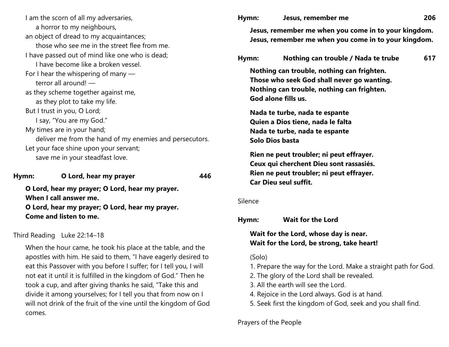I am the scorn of all my adversaries, a horror to my neighbours, an object of dread to my acquaintances; those who see me in the street flee from me. I have passed out of mind like one who is dead; I have become like a broken vessel. For I hear the whispering of many terror all around! as they scheme together against me, as they plot to take my life. But I trust in you, O Lord; I say, "You are my God." My times are in your hand; deliver me from the hand of my enemies and persecutors. Let your face shine upon your servant; save me in your steadfast love.

**Hymn: O Lord, hear my prayer 446**

**O Lord, hear my prayer; O Lord, hear my prayer. When I call answer me. O Lord, hear my prayer; O Lord, hear my prayer. Come and listen to me.**

## Third Reading Luke 22:14–18

When the hour came, he took his place at the table, and the apostles with him. He said to them, "I have eagerly desired to eat this Passover with you before I suffer; for I tell you, I will not eat it until it is fulfilled in the kingdom of God." Then he took a cup, and after giving thanks he said, "Take this and divide it among yourselves; for I tell you that from now on I will not drink of the fruit of the vine until the kingdom of God comes.

| Hymn:   | Jesus, remember me                                                                                                                                            | 206 |
|---------|---------------------------------------------------------------------------------------------------------------------------------------------------------------|-----|
|         | Jesus, remember me when you come in to your kingdom.<br>Jesus, remember me when you come in to your kingdom.                                                  |     |
| Hymn:   | Nothing can trouble / Nada te trube                                                                                                                           | 617 |
|         | Nothing can trouble, nothing can frighten.<br>Those who seek God shall never go wanting.<br>Nothing can trouble, nothing can frighten.<br>God alone fills us. |     |
|         | Nada te turbe, nada te espante<br>Quien a Dios tiene, nada le falta<br>Nada te turbe, nada te espante<br>Solo Dios basta                                      |     |
|         | Rien ne peut troubler; ni peut effrayer.<br>Ceux qui cherchent Dieu sont rassasiés.<br>Rien ne peut troubler; ni peut effrayer.<br>Car Dieu seul suffit.      |     |
| Silence |                                                                                                                                                               |     |
| Hymn:   | <b>Wait for the Lord</b>                                                                                                                                      |     |
|         | Wait for the Lord, whose day is near.<br>Wait for the Lord, be strong, take heart!                                                                            |     |
| (Solo)  | 1. Prepare the way for the Lord. Make a straight path for God.<br>2. The glory of the Lord shall be revealed.                                                 |     |

- 3. All the earth will see the Lord.
- 4. Rejoice in the Lord always. God is at hand.
- 5. Seek first the kingdom of God, seek and you shall find.